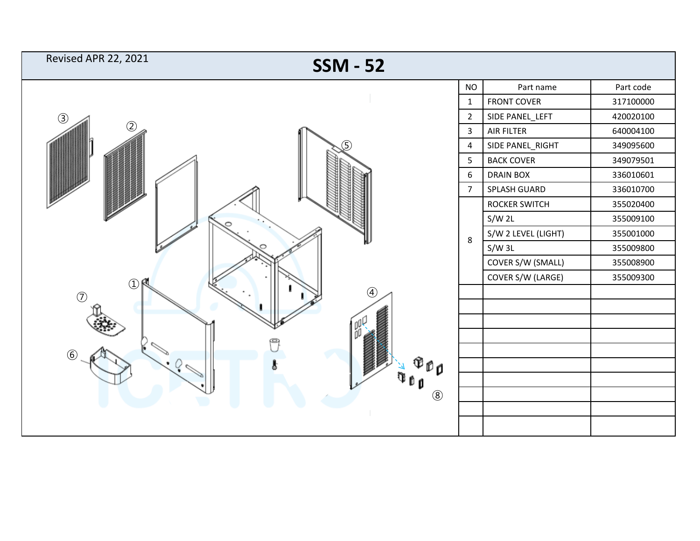| <b>Revised APR 22, 2021</b><br><b>SSM - 52</b> |                |                     |           |
|------------------------------------------------|----------------|---------------------|-----------|
|                                                | <b>NO</b>      | Part name           | Part code |
| $\circled{3}$<br>$\left( 1\right)$             | $\mathbf{1}$   | <b>FRONT COVER</b>  | 317100000 |
|                                                | $\overline{2}$ | SIDE PANEL_LEFT     | 420020100 |
|                                                | 3              | <b>AIR FILTER</b>   | 640004100 |
|                                                | 4              | SIDE PANEL_RIGHT    | 349095600 |
|                                                | 5              | <b>BACK COVER</b>   | 349079501 |
|                                                | 6              | <b>DRAIN BOX</b>    | 336010601 |
|                                                | $\overline{7}$ | SPLASH GUARD        | 336010700 |
|                                                |                | ROCKER SWITCH       | 355020400 |
|                                                |                | $S/W$ 2L            | 355009100 |
|                                                | $\,8\,$        | S/W 2 LEVEL (LIGHT) | 355001000 |
|                                                |                | S/W3L               | 355009800 |
|                                                |                | COVER S/W (SMALL)   | 355008900 |
|                                                |                | COVER S/W (LARGE)   | 355009300 |
| $\left( \widehat{4}\right)$<br>(7)             |                |                     |           |
|                                                |                |                     |           |
|                                                |                |                     |           |
|                                                |                |                     |           |
| $\circled{6}$<br>$\mathbb{D}$ O<br>$\circledS$ |                |                     |           |
|                                                |                |                     |           |
|                                                |                |                     |           |
|                                                |                |                     |           |
|                                                |                |                     |           |
|                                                |                |                     |           |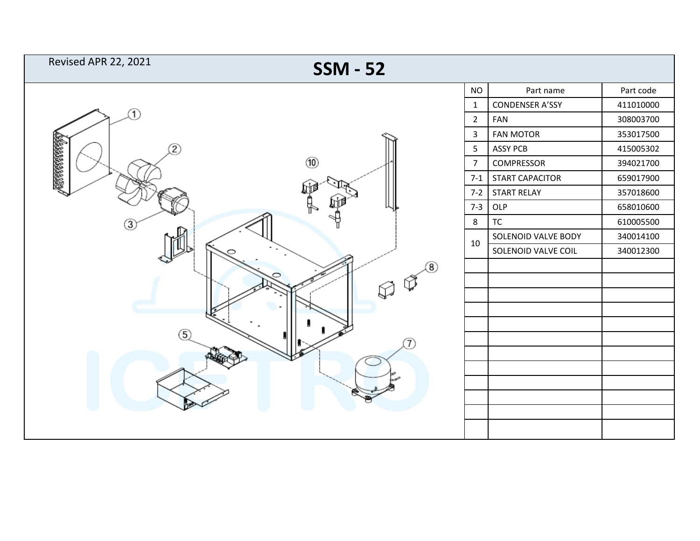